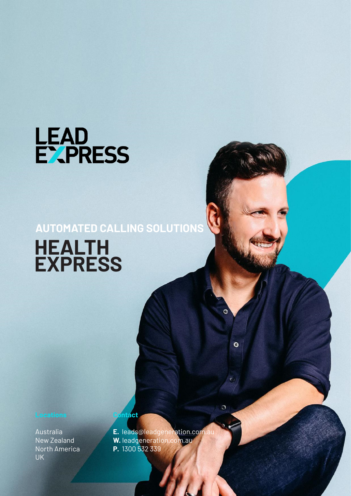

## **AUTOMATED CALLING SOLUTIONS HEALTH EXPRESS**

Australia New Zealand North America UK

**E.** leads@leadgeneration.com.au **W.** leadgeneration.com.au **P.** 1300 532 339

 $\bullet$ 

O

**Contact**